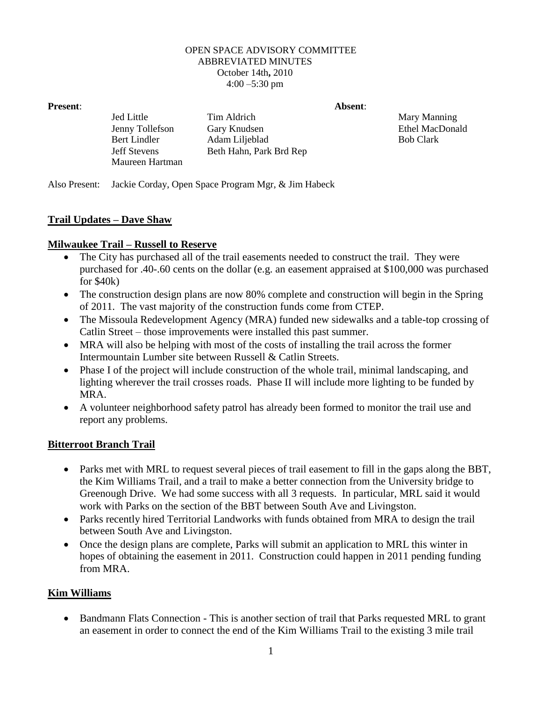#### OPEN SPACE ADVISORY COMMITTEE ABBREVIATED MINUTES October 14th**,** 2010  $4:00 - 5:30$  pm

**Present**: **Absent**:

Jed Little Tim Aldrich Mary Manning Jenny Tollefson Gary Knudsen Ethel MacDonald Bert Lindler Adam Liljeblad Bob Clark

Also Present: Jackie Corday, Open Space Program Mgr, & Jim Habeck

Jeff Stevens Beth Hahn, Park Brd Rep

### **Trail Updates – Dave Shaw**

### **Milwaukee Trail – Russell to Reserve**

Maureen Hartman

- The City has purchased all of the trail easements needed to construct the trail. They were purchased for .40-.60 cents on the dollar (e.g. an easement appraised at \$100,000 was purchased for \$40k)
- The construction design plans are now 80% complete and construction will begin in the Spring of 2011. The vast majority of the construction funds come from CTEP.
- The Missoula Redevelopment Agency (MRA) funded new sidewalks and a table-top crossing of Catlin Street – those improvements were installed this past summer.
- MRA will also be helping with most of the costs of installing the trail across the former Intermountain Lumber site between Russell & Catlin Streets.
- Phase I of the project will include construction of the whole trail, minimal landscaping, and lighting wherever the trail crosses roads. Phase II will include more lighting to be funded by MRA.
- A volunteer neighborhood safety patrol has already been formed to monitor the trail use and report any problems.

### **Bitterroot Branch Trail**

- Parks met with MRL to request several pieces of trail easement to fill in the gaps along the BBT, the Kim Williams Trail, and a trail to make a better connection from the University bridge to Greenough Drive. We had some success with all 3 requests. In particular, MRL said it would work with Parks on the section of the BBT between South Ave and Livingston.
- Parks recently hired Territorial Landworks with funds obtained from MRA to design the trail between South Ave and Livingston.
- Once the design plans are complete, Parks will submit an application to MRL this winter in hopes of obtaining the easement in 2011. Construction could happen in 2011 pending funding from MRA.

### **Kim Williams**

• Bandmann Flats Connection - This is another section of trail that Parks requested MRL to grant an easement in order to connect the end of the Kim Williams Trail to the existing 3 mile trail